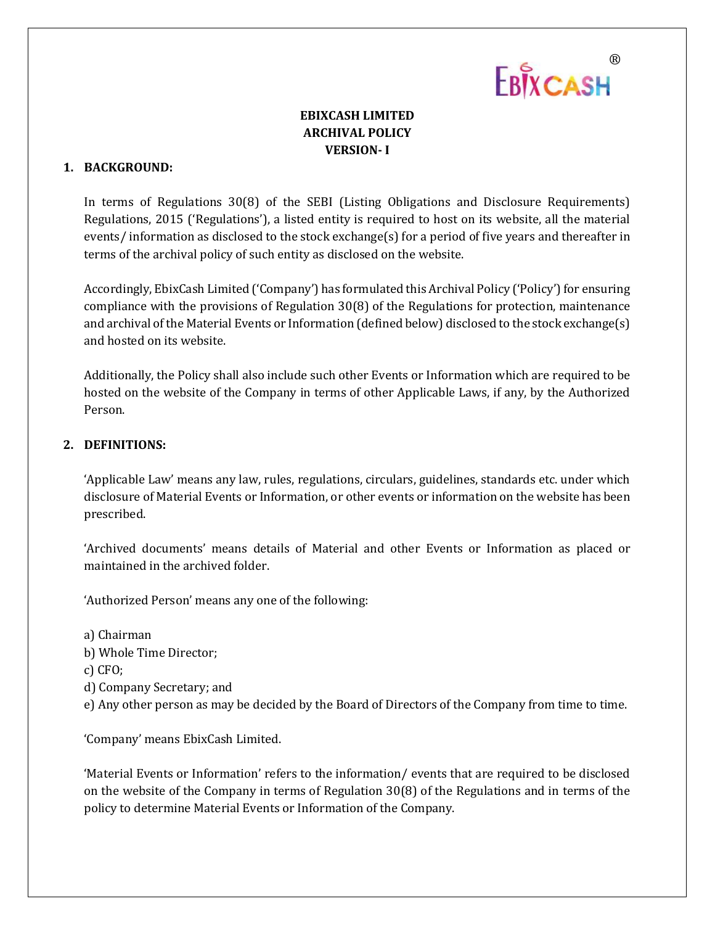# EBIXCASH

## **EBIXCASH LIMITED ARCHIVAL POLICY VERSION- I**

### **1. BACKGROUND:**

In terms of Regulations 30(8) of the SEBI (Listing Obligations and Disclosure Requirements) Regulations, 2015 ('Regulations'), a listed entity is required to host on its website, all the material events/ information as disclosed to the stock exchange(s) for a period of five years and thereafter in terms of the archival policy of such entity as disclosed on the website.

Accordingly, EbixCash Limited ('Company') has formulated this Archival Policy ('Policy') for ensuring compliance with the provisions of Regulation 30(8) of the Regulations for protection, maintenance and archival of the Material Events or Information (defined below) disclosed to the stock exchange(s) and hosted on its website.

Additionally, the Policy shall also include such other Events or Information which are required to be hosted on the website of the Company in terms of other Applicable Laws, if any, by the Authorized Person.

#### **2. DEFINITIONS:**

'Applicable Law' means any law, rules, regulations, circulars, guidelines, standards etc. under which disclosure of Material Events or Information, or other events or information on the website has been prescribed.

'Archived documents' means details of Material and other Events or Information as placed or maintained in the archived folder.

'Authorized Person' means any one of the following:

a) Chairman b) Whole Time Director; c) CFO; d) Company Secretary; and e) Any other person as may be decided by the Board of Directors of the Company from time to time.

'Company' means EbixCash Limited.

'Material Events or Information' refers to the information/ events that are required to be disclosed on the website of the Company in terms of Regulation 30(8) of the Regulations and in terms of the policy to determine Material Events or Information of the Company.